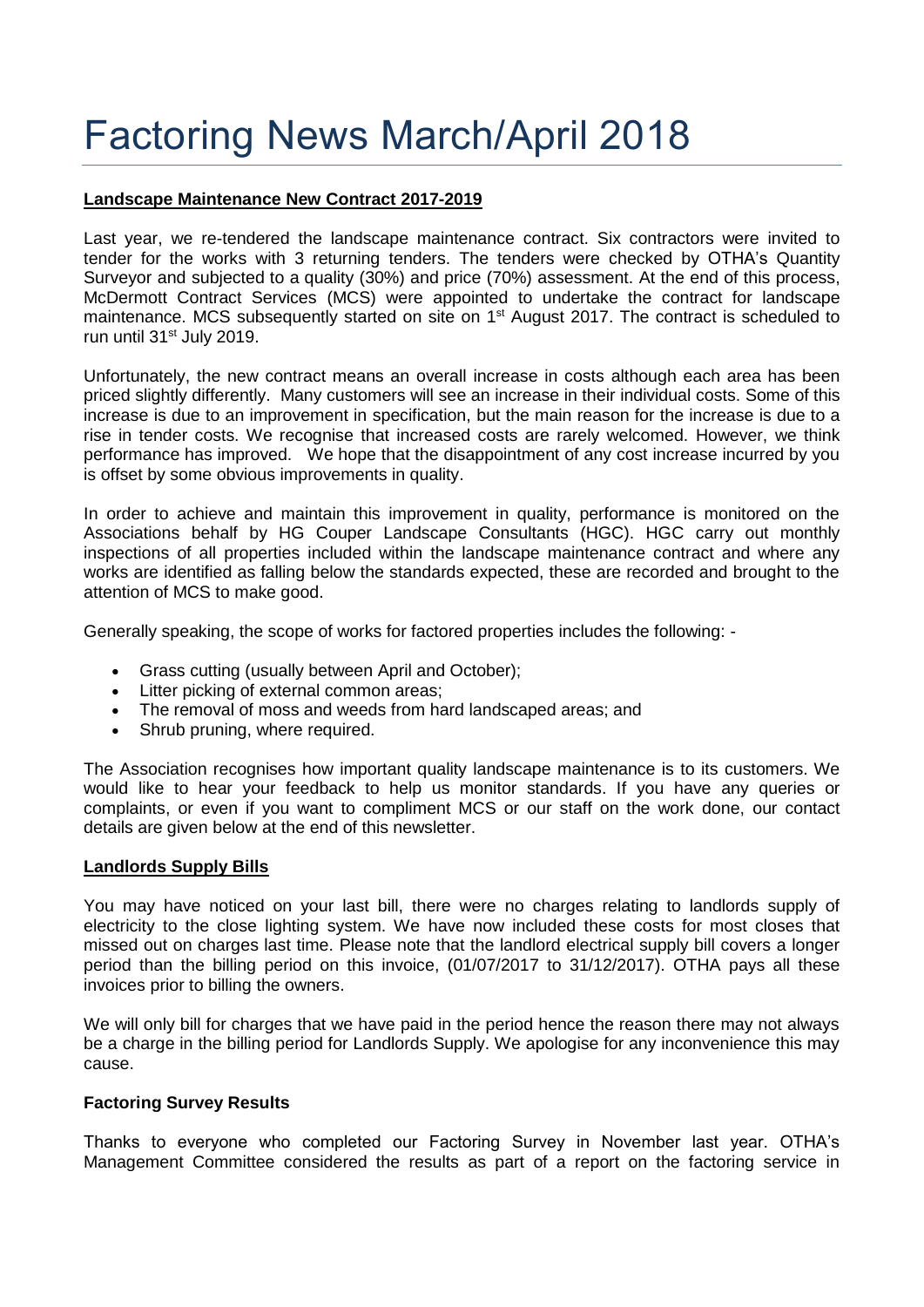# Factoring News March/April 2018

## **Landscape Maintenance New Contract 2017-2019**

Last year, we re-tendered the landscape maintenance contract. Six contractors were invited to tender for the works with 3 returning tenders. The tenders were checked by OTHA's Quantity Surveyor and subjected to a quality (30%) and price (70%) assessment. At the end of this process, McDermott Contract Services (MCS) were appointed to undertake the contract for landscape maintenance. MCS subsequently started on site on 1<sup>st</sup> August 2017. The contract is scheduled to run until 31<sup>st</sup> July 2019.

Unfortunately, the new contract means an overall increase in costs although each area has been priced slightly differently. Many customers will see an increase in their individual costs. Some of this increase is due to an improvement in specification, but the main reason for the increase is due to a rise in tender costs. We recognise that increased costs are rarely welcomed. However, we think performance has improved. We hope that the disappointment of any cost increase incurred by you is offset by some obvious improvements in quality.

In order to achieve and maintain this improvement in quality, performance is monitored on the Associations behalf by HG Couper Landscape Consultants (HGC). HGC carry out monthly inspections of all properties included within the landscape maintenance contract and where any works are identified as falling below the standards expected, these are recorded and brought to the attention of MCS to make good.

Generally speaking, the scope of works for factored properties includes the following: -

- Grass cutting (usually between April and October);
- Litter picking of external common areas;
- The removal of moss and weeds from hard landscaped areas; and
- Shrub pruning, where required.

The Association recognises how important quality landscape maintenance is to its customers. We would like to hear your feedback to help us monitor standards. If you have any queries or complaints, or even if you want to compliment MCS or our staff on the work done, our contact details are given below at the end of this newsletter.

#### **Landlords Supply Bills**

You may have noticed on your last bill, there were no charges relating to landlords supply of electricity to the close lighting system. We have now included these costs for most closes that missed out on charges last time. Please note that the landlord electrical supply bill covers a longer period than the billing period on this invoice, (01/07/2017 to 31/12/2017). OTHA pays all these invoices prior to billing the owners.

We will only bill for charges that we have paid in the period hence the reason there may not always be a charge in the billing period for Landlords Supply. We apologise for any inconvenience this may cause.

#### **Factoring Survey Results**

Thanks to everyone who completed our Factoring Survey in November last year. OTHA's Management Committee considered the results as part of a report on the factoring service in